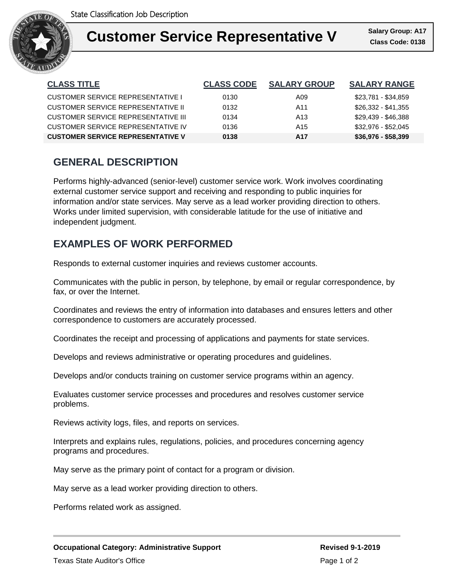

### **Customer Service Representative V** Salary Group: A17 I

**Class Code: 0138 Salary Group: A17**

| <b>CLASS TITLE</b>                       | <b>CLASS CODE</b> | <b>SALARY GROUP</b> | <b>SALARY RANGE</b> |
|------------------------------------------|-------------------|---------------------|---------------------|
| <b>CUSTOMER SERVICE REPRESENTATIVE I</b> | 0130              | A09                 | \$23,781 - \$34,859 |
| CUSTOMER SERVICE REPRESENTATIVE II       | 0132              | A <sub>11</sub>     | $$26,332 - $41,355$ |
| CUSTOMER SERVICE REPRESENTATIVE III      | 0134              | A <sub>13</sub>     | \$29.439 - \$46.388 |
| CUSTOMER SERVICE REPRESENTATIVE IV       | 0136              | A15                 | \$32,976 - \$52,045 |
| <b>CUSTOMER SERVICE REPRESENTATIVE V</b> | 0138              | A17                 | $$36,976 - $58,399$ |

# **GENERAL DESCRIPTION**

Performs highly-advanced (senior-level) customer service work. Work involves coordinating external customer service support and receiving and responding to public inquiries for information and/or state services. May serve as a lead worker providing direction to others. Works under limited supervision, with considerable latitude for the use of initiative and independent judgment.

# **EXAMPLES OF WORK PERFORMED**

Responds to external customer inquiries and reviews customer accounts.

Communicates with the public in person, by telephone, by email or regular correspondence, by fax, or over the Internet.

Coordinates and reviews the entry of information into databases and ensures letters and other correspondence to customers are accurately processed.

Coordinates the receipt and processing of applications and payments for state services.

Develops and reviews administrative or operating procedures and guidelines.

Develops and/or conducts training on customer service programs within an agency.

Evaluates customer service processes and procedures and resolves customer service problems.

Reviews activity logs, files, and reports on services.

Interprets and explains rules, regulations, policies, and procedures concerning agency programs and procedures.

May serve as the primary point of contact for a program or division.

May serve as a lead worker providing direction to others.

Performs related work as assigned.